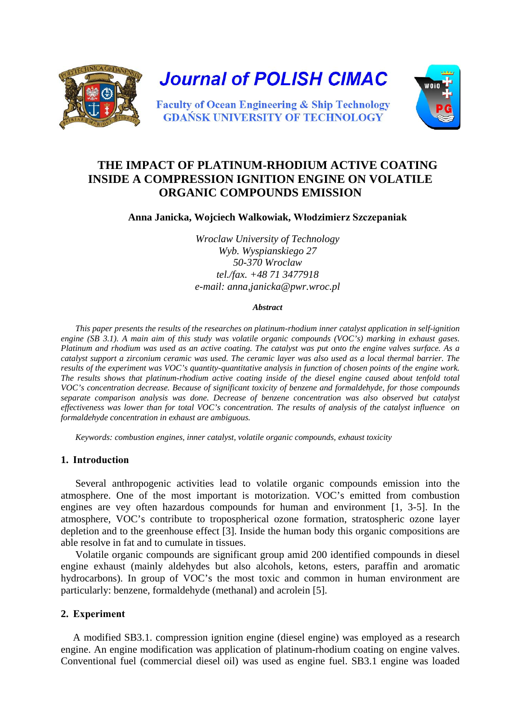

# **THE IMPACT OF PLATINUM-RHODIUM ACTIVE COATING INSIDE A COMPRESSION IGNITION ENGINE ON VOLATILE ORGANIC COMPOUNDS EMISSION**

**Anna Janicka, Wojciech Walkowiak, Włodzimierz Szczepaniak**

*Wroclaw University of Technology Wyb. Wyspianskiego 27 50-370 Wroclaw tel./fax. +48 71 3477918 e-mail: anna,janicka@pwr.wroc.pl* 

#### *Abstract*

*This paper presents the results of the researches on platinum-rhodium inner catalyst application in self-ignition engine (SB 3.1). A main aim of this study was volatile organic compounds (VOC's) marking in exhaust gases. Platinum and rhodium was used as an active coating. The catalyst was put onto the engine valves surface. As a catalyst support a zirconium ceramic was used. The ceramic layer was also used as a local thermal barrier. The results of the experiment was VOC's quantity-quantitative analysis in function of chosen points of the engine work. The results shows that platinum-rhodium active coating inside of the diesel engine caused about tenfold total VOC's concentration decrease. Because of significant toxicity of benzene and formaldehyde, for those compounds separate comparison analysis was done. Decrease of benzene concentration was also observed but catalyst effectiveness was lower than for total VOC's concentration. The results of analysis of the catalyst influence on formaldehyde concentration in exhaust are ambiguous.*

*Keywords: combustion engines, inner catalyst, volatile organic compounds, exhaust toxicity*

### **1. Introduction**

Several anthropogenic activities lead to volatile organic compounds emission into the atmosphere. One of the most important is motorization. VOC's emitted from combustion engines are vey often hazardous compounds for human and environment [1, 3-5]. In the atmosphere, VOC's contribute to tropospherical ozone formation, stratospheric ozone layer depletion and to the greenhouse effect [3]. Inside the human body this organic compositions are able resolve in fat and to cumulate in tissues.

Volatile organic compounds are significant group amid 200 identified compounds in diesel engine exhaust (mainly aldehydes but also alcohols, ketons, esters, paraffin and aromatic hydrocarbons). In group of VOC's the most toxic and common in human environment are particularly: benzene, formaldehyde (methanal) and acrolein [5].

### **2. Experiment**

A modified SB3.1. compression ignition engine (diesel engine) was employed as a research engine. An engine modification was application of platinum-rhodium coating on engine valves. Conventional fuel (commercial diesel oil) was used as engine fuel. SB3.1 engine was loaded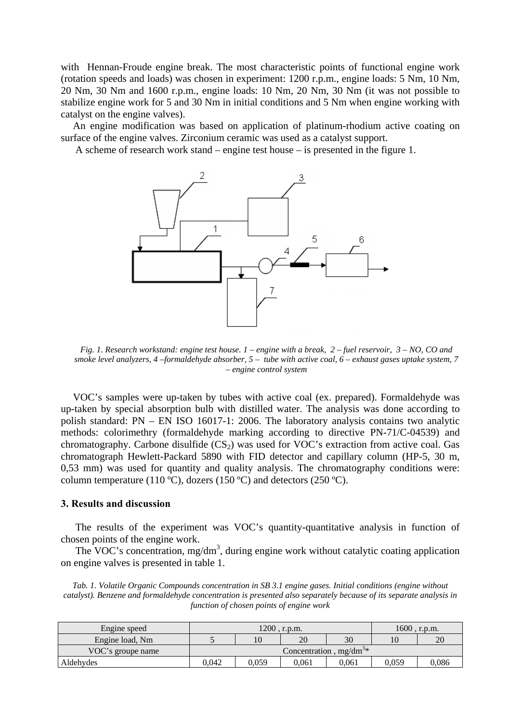with Hennan-Froude engine break. The most characteristic points of functional engine work (rotation speeds and loads) was chosen in experiment: 1200 r.p.m., engine loads: 5 Nm, 10 Nm, 20 Nm, 30 Nm and 1600 r.p.m., engine loads: 10 Nm, 20 Nm, 30 Nm (it was not possible to stabilize engine work for 5 and 30 Nm in initial conditions and 5 Nm when engine working with catalyst on the engine valves).

An engine modification was based on application of platinum-rhodium active coating on surface of the engine valves. Zirconium ceramic was used as a catalyst support.

A scheme of research work stand – engine test house – is presented in the figure 1.



*Fig. 1. Research workstand: engine test house. 1 – engine with a break, 2 – fuel reservoir, 3 – NO, CO and smoke level analyzers, 4 –formaldehyde absorber, 5 – tube with active coal, 6 – exhaust gases uptake system, 7 – engine control system*

VOC's samples were up-taken by tubes with active coal (ex. prepared). Formaldehyde was up-taken by special absorption bulb with distilled water. The analysis was done according to polish standard: PN – EN ISO 16017-1: 2006. The laboratory analysis contains two analytic methods: colorimethry (formaldehyde marking according to directive PN-71/C-04539) and chromatography. Carbone disulfide  $(CS_2)$  was used for VOC's extraction from active coal. Gas chromatograph Hewlett-Packard 5890 with FID detector and capillary column (HP-5, 30 m, 0,53 mm) was used for quantity and quality analysis. The chromatography conditions were: column temperature (110 ºC), dozers (150 ºC) and detectors (250 ºC).

#### **3. Results and discussion**

The results of the experiment was VOC's quantity-quantitative analysis in function of chosen points of the engine work.

The VOC's concentration, mg/dm<sup>3</sup>, during engine work without catalytic coating application on engine valves is presented in table 1.

*Tab. 1. Volatile Organic Compounds concentration in SB 3.1 engine gases. Initial conditions (engine without catalyst). Benzene and formaldehyde concentration is presented also separately because of its separate analysis in function of chosen points of engine work*

| Engine speed      | $1200$ , r.p.m.             |       |       |       | $1600$ , r.p.m. |       |  |
|-------------------|-----------------------------|-------|-------|-------|-----------------|-------|--|
| Engine load, Nm   |                             |       | 20    | 30    |                 | 20    |  |
| VOC's groupe name | Concentration, $mg/dm^{3*}$ |       |       |       |                 |       |  |
| Aldehydes         | 0.042                       | 0.059 | 0.061 | 0.061 | 0.059           | 0.086 |  |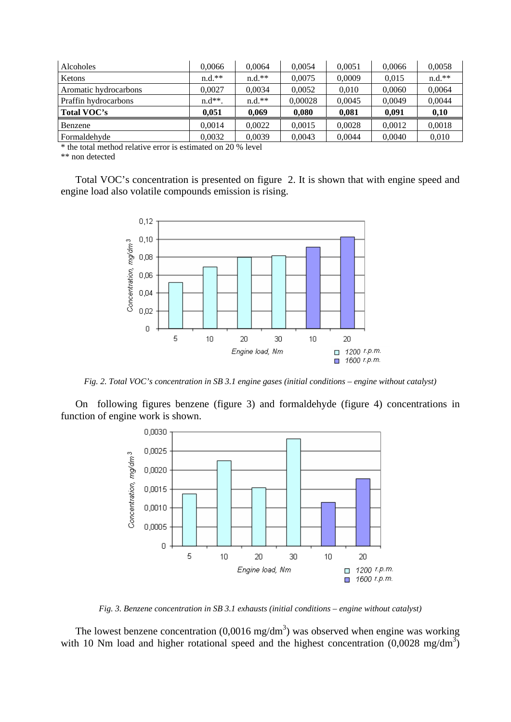| Alcoholes             | 0.0066   | 0.0064   | 0.0054  | 0.0051 | 0.0066 | 0,0058   |
|-----------------------|----------|----------|---------|--------|--------|----------|
| Ketons                | $n.d.**$ | $n.d.**$ | 0.0075  | 0.0009 | 0.015  | $n.d.**$ |
| Aromatic hydrocarbons | 0.0027   | 0.0034   | 0.0052  | 0.010  | 0.0060 | 0.0064   |
| Praffin hydrocarbons  | $n.d**$  | $n.d.**$ | 0,00028 | 0.0045 | 0.0049 | 0.0044   |
| Total VOC's           | 0.051    | 0.069    | 0.080   | 0.081  | 0.091  | 0.10     |
| Benzene               | 0.0014   | 0.0022   | 0,0015  | 0.0028 | 0.0012 | 0,0018   |
| Formaldehyde          | 0.0032   | 0.0039   | 0.0043  | 0.0044 | 0.0040 | 0.010    |

\* the total method relative error is estimated on 20 % level

\*\* non detected

Total VOC's concentration is presented on figure 2. It is shown that with engine speed and engine load also volatile compounds emission is rising.



*Fig. 2. Total VOC's concentration in SB 3.1 engine gases (initial conditions – engine without catalyst)* 

On following figures benzene (figure 3) and formaldehyde (figure 4) concentrations in function of engine work is shown.



*Fig. 3. Benzene concentration in SB 3.1 exhausts (initial conditions – engine without catalyst)* 

The lowest benzene concentration  $(0,0016 \text{ mg/dm}^3)$  was observed when engine was working with 10 Nm load and higher rotational speed and the highest concentration  $(0.0028 \text{ mg/dm}^3)$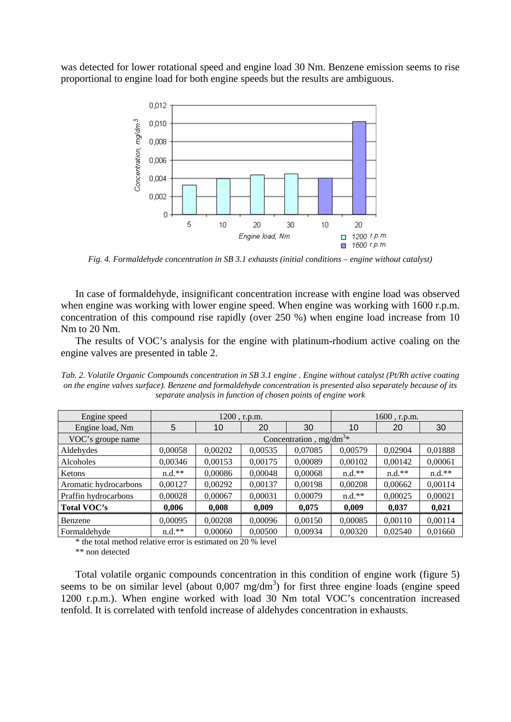was detected for lower rotational speed and engine load 30 Nm. Benzene emission seems to rise proportional to engine load for both engine speeds but the results are ambiguous.



*Fig. 4. Formaldehyde concentration in SB 3.1 exhausts (initial conditions – engine without catalyst)*

In case of formaldehyde, insignificant concentration increase with engine load was observed when engine was working with lower engine speed. When engine was working with 1600 r.p.m. concentration of this compound rise rapidly (over 250 %) when engine load increase from 10 Nm to 20 Nm.

The results of VOC's analysis for the engine with platinum-rhodium active coaling on the engine valves are presented in table 2.

*Tab. 2. Volatile Organic Compounds concentration in SB 3.1 engine . Engine without catalyst (Pt/Rh active coating on the engine valves surface). Benzene and formaldehyde concentration is presented also separately because of its separate analysis in function of chosen points of engine work*

| Engine speed          | $1200$ , r.p.m.           |         |         | $1600$ , r.p.m. |          |          |          |
|-----------------------|---------------------------|---------|---------|-----------------|----------|----------|----------|
| Engine load, Nm       | 5                         | 10      | 20      | 30              | 10       | 20       | 30       |
| VOC's groupe name     | Concentration, $mg/dm^3*$ |         |         |                 |          |          |          |
| Aldehydes             | 0,00058                   | 0,00202 | 0,00535 | 0,07085         | 0,00579  | 0,02904  | 0,01888  |
| Alcoholes             | 0,00346                   | 0,00153 | 0,00175 | 0,00089         | 0,00102  | 0,00142  | 0,00061  |
| Ketons                | $n.d.**$                  | 0,00086 | 0,00048 | 0,00068         | $n.d.**$ | $n.d.**$ | $n.d.**$ |
| Aromatic hydrocarbons | 0,00127                   | 0,00292 | 0,00137 | 0,00198         | 0,00208  | 0,00662  | 0,00114  |
| Praffin hydrocarbons  | 0,00028                   | 0,00067 | 0,00031 | 0,00079         | $n.d.**$ | 0,00025  | 0,00021  |
| Total VOC's           | 0,006                     | 0,008   | 0,009   | 0,075           | 0,009    | 0,037    | 0,021    |
| Benzene               | 0,00095                   | 0,00208 | 0,00096 | 0,00150         | 0,00085  | 0,00110  | 0,00114  |
| Formaldehyde          | $n.d.**$                  | 0.00060 | 0,00500 | 0,00934         | 0,00320  | 0.02540  | 0,01660  |

\* the total method relative error is estimated on 20 % level

\*\* non detected

Total volatile organic compounds concentration in this condition of engine work (figure 5) seems to be on similar level (about  $0.007 \text{ mg/dm}^3$ ) for first three engine loads (engine speed 1200 r.p.m.). When engine worked with load 30 Nm total VOC's concentration increased tenfold. It is correlated with tenfold increase of aldehydes concentration in exhausts.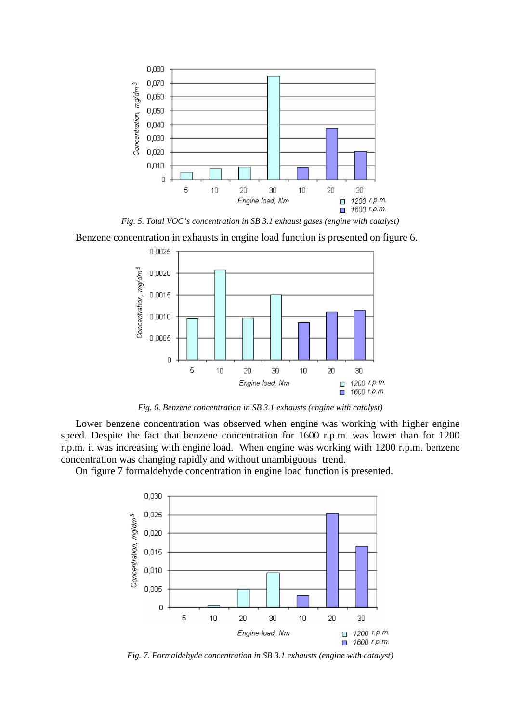

*Fig. 5. Total VOC's concentration in SB 3.1 exhaust gases (engine with catalyst)* 

Benzene concentration in exhausts in engine load function is presented on figure 6.



*Fig. 6. Benzene concentration in SB 3.1 exhausts (engine with catalyst)*

Lower benzene concentration was observed when engine was working with higher engine speed. Despite the fact that benzene concentration for 1600 r.p.m. was lower than for 1200 r.p.m. it was increasing with engine load. When engine was working with 1200 r.p.m. benzene concentration was changing rapidly and without unambiguous trend.

On figure 7 formaldehyde concentration in engine load function is presented.



*Fig. 7. Formaldehyde concentration in SB 3.1 exhausts (engine with catalyst)*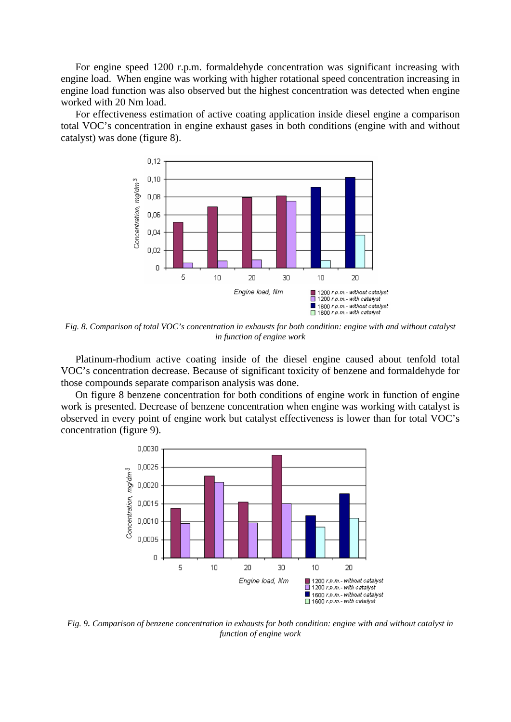For engine speed 1200 r.p.m. formaldehyde concentration was significant increasing with engine load. When engine was working with higher rotational speed concentration increasing in engine load function was also observed but the highest concentration was detected when engine worked with 20 Nm load.

For effectiveness estimation of active coating application inside diesel engine a comparison total VOC's concentration in engine exhaust gases in both conditions (engine with and without catalyst) was done (figure 8).



*Fig. 8. Comparison of total VOC's concentration in exhausts for both condition: engine with and without catalyst in function of engine work*

Platinum-rhodium active coating inside of the diesel engine caused about tenfold total VOC's concentration decrease. Because of significant toxicity of benzene and formaldehyde for those compounds separate comparison analysis was done.

On figure 8 benzene concentration for both conditions of engine work in function of engine work is presented. Decrease of benzene concentration when engine was working with catalyst is observed in every point of engine work but catalyst effectiveness is lower than for total VOC's concentration (figure 9).



*Fig. 9. Comparison of benzene concentration in exhausts for both condition: engine with and without catalyst in function of engine work*